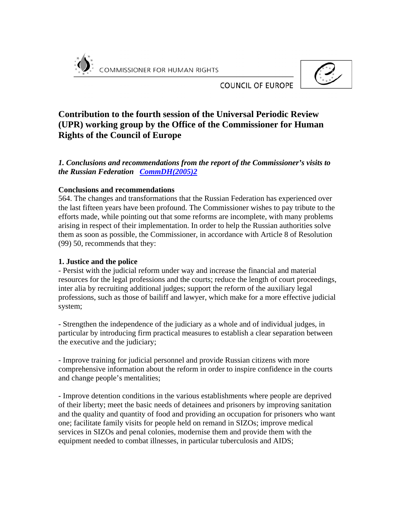



**COUNCIL OF EUROPE** 

# **Contribution to the fourth session of the Universal Periodic Review (UPR) working group by the Office of the Commissioner for Human Rights of the Council of Europe**

*1. Conclusions and recommendations from the report of the Commissioner's visits to the Russian Federation CommDH(2005)2* 

#### **Conclusions and recommendations**

564. The changes and transformations that the Russian Federation has experienced over the last fifteen years have been profound. The Commissioner wishes to pay tribute to the efforts made, while pointing out that some reforms are incomplete, with many problems arising in respect of their implementation. In order to help the Russian authorities solve them as soon as possible, the Commissioner, in accordance with Article 8 of Resolution (99) 50, recommends that they:

### **1. Justice and the police**

- Persist with the judicial reform under way and increase the financial and material resources for the legal professions and the courts; reduce the length of court proceedings, inter alia by recruiting additional judges; support the reform of the auxiliary legal professions, such as those of bailiff and lawyer, which make for a more effective judicial system;

- Strengthen the independence of the judiciary as a whole and of individual judges, in particular by introducing firm practical measures to establish a clear separation between the executive and the judiciary;

- Improve training for judicial personnel and provide Russian citizens with more comprehensive information about the reform in order to inspire confidence in the courts and change people's mentalities;

- Improve detention conditions in the various establishments where people are deprived of their liberty; meet the basic needs of detainees and prisoners by improving sanitation and the quality and quantity of food and providing an occupation for prisoners who want one; facilitate family visits for people held on remand in SIZOs; improve medical services in SIZOs and penal colonies, modernise them and provide them with the equipment needed to combat illnesses, in particular tuberculosis and AIDS;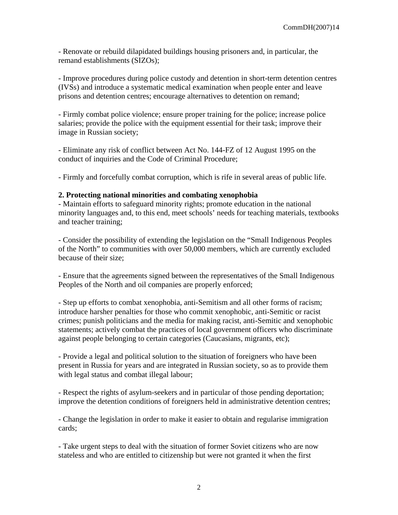- Renovate or rebuild dilapidated buildings housing prisoners and, in particular, the remand establishments (SIZOs);

- Improve procedures during police custody and detention in short-term detention centres (IVSs) and introduce a systematic medical examination when people enter and leave prisons and detention centres; encourage alternatives to detention on remand;

- Firmly combat police violence; ensure proper training for the police; increase police salaries; provide the police with the equipment essential for their task; improve their image in Russian society;

- Eliminate any risk of conflict between Act No. 144-FZ of 12 August 1995 on the conduct of inquiries and the Code of Criminal Procedure;

- Firmly and forcefully combat corruption, which is rife in several areas of public life.

#### **2. Protecting national minorities and combating xenophobia**

- Maintain efforts to safeguard minority rights; promote education in the national minority languages and, to this end, meet schools' needs for teaching materials, textbooks and teacher training;

- Consider the possibility of extending the legislation on the "Small Indigenous Peoples of the North" to communities with over 50,000 members, which are currently excluded because of their size;

- Ensure that the agreements signed between the representatives of the Small Indigenous Peoples of the North and oil companies are properly enforced;

- Step up efforts to combat xenophobia, anti-Semitism and all other forms of racism; introduce harsher penalties for those who commit xenophobic, anti-Semitic or racist crimes; punish politicians and the media for making racist, anti-Semitic and xenophobic statements; actively combat the practices of local government officers who discriminate against people belonging to certain categories (Caucasians, migrants, etc);

- Provide a legal and political solution to the situation of foreigners who have been present in Russia for years and are integrated in Russian society, so as to provide them with legal status and combat illegal labour;

- Respect the rights of asylum-seekers and in particular of those pending deportation; improve the detention conditions of foreigners held in administrative detention centres;

- Change the legislation in order to make it easier to obtain and regularise immigration cards;

- Take urgent steps to deal with the situation of former Soviet citizens who are now stateless and who are entitled to citizenship but were not granted it when the first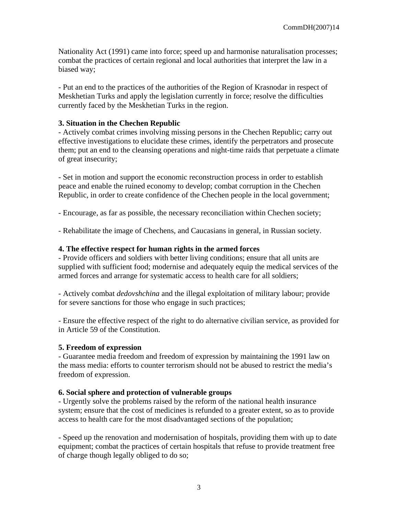Nationality Act (1991) came into force; speed up and harmonise naturalisation processes; combat the practices of certain regional and local authorities that interpret the law in a biased way;

- Put an end to the practices of the authorities of the Region of Krasnodar in respect of Meskhetian Turks and apply the legislation currently in force; resolve the difficulties currently faced by the Meskhetian Turks in the region.

#### **3. Situation in the Chechen Republic**

- Actively combat crimes involving missing persons in the Chechen Republic; carry out effective investigations to elucidate these crimes, identify the perpetrators and prosecute them; put an end to the cleansing operations and night-time raids that perpetuate a climate of great insecurity;

- Set in motion and support the economic reconstruction process in order to establish peace and enable the ruined economy to develop; combat corruption in the Chechen Republic, in order to create confidence of the Chechen people in the local government;

- Encourage, as far as possible, the necessary reconciliation within Chechen society;

- Rehabilitate the image of Chechens, and Caucasians in general, in Russian society.

#### **4. The effective respect for human rights in the armed forces**

- Provide officers and soldiers with better living conditions; ensure that all units are supplied with sufficient food; modernise and adequately equip the medical services of the armed forces and arrange for systematic access to health care for all soldiers;

- Actively combat *dedovshchina* and the illegal exploitation of military labour; provide for severe sanctions for those who engage in such practices;

- Ensure the effective respect of the right to do alternative civilian service, as provided for in Article 59 of the Constitution.

#### **5. Freedom of expression**

- Guarantee media freedom and freedom of expression by maintaining the 1991 law on the mass media: efforts to counter terrorism should not be abused to restrict the media's freedom of expression.

#### **6. Social sphere and protection of vulnerable groups**

- Urgently solve the problems raised by the reform of the national health insurance system; ensure that the cost of medicines is refunded to a greater extent, so as to provide access to health care for the most disadvantaged sections of the population;

- Speed up the renovation and modernisation of hospitals, providing them with up to date equipment; combat the practices of certain hospitals that refuse to provide treatment free of charge though legally obliged to do so;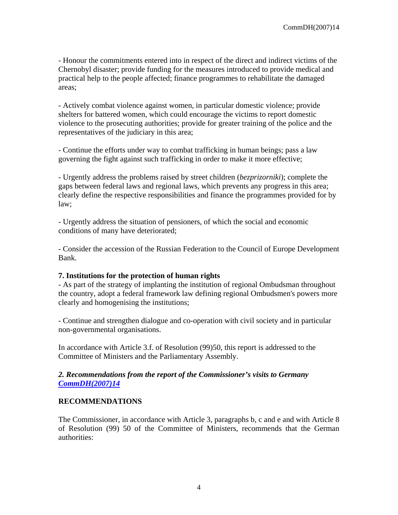- Honour the commitments entered into in respect of the direct and indirect victims of the Chernobyl disaster; provide funding for the measures introduced to provide medical and practical help to the people affected; finance programmes to rehabilitate the damaged areas;

- Actively combat violence against women, in particular domestic violence; provide shelters for battered women, which could encourage the victims to report domestic violence to the prosecuting authorities; provide for greater training of the police and the representatives of the judiciary in this area;

- Continue the efforts under way to combat trafficking in human beings; pass a law governing the fight against such trafficking in order to make it more effective;

- Urgently address the problems raised by street children (*bezprizorniki*); complete the gaps between federal laws and regional laws, which prevents any progress in this area; clearly define the respective responsibilities and finance the programmes provided for by law;

- Urgently address the situation of pensioners, of which the social and economic conditions of many have deteriorated;

- Consider the accession of the Russian Federation to the Council of Europe Development Bank.

#### **7. Institutions for the protection of human rights**

- As part of the strategy of implanting the institution of regional Ombudsman throughout the country, adopt a federal framework law defining regional Ombudsmen's powers more clearly and homogenising the institutions;

- Continue and strengthen dialogue and co-operation with civil society and in particular non-governmental organisations.

In accordance with Article 3.f. of Resolution (99)50, this report is addressed to the Committee of Ministers and the Parliamentary Assembly.

### *2. Recommendations from the report of the Commissioner's visits to Germany CommDH(2007)14*

### **RECOMMENDATIONS**

The Commissioner, in accordance with Article 3, paragraphs b, c and e and with Article 8 of Resolution (99) 50 of the Committee of Ministers, recommends that the German authorities: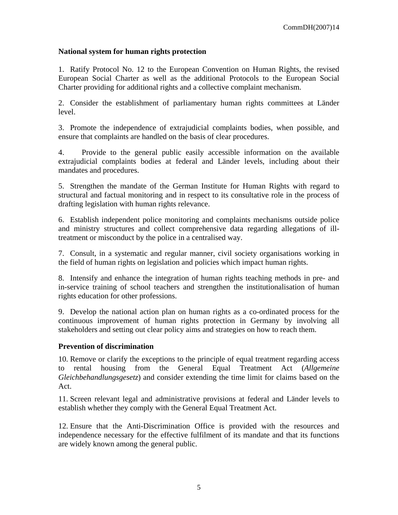#### **National system for human rights protection**

1. Ratify Protocol No. 12 to the European Convention on Human Rights, the revised European Social Charter as well as the additional Protocols to the European Social Charter providing for additional rights and a collective complaint mechanism.

2. Consider the establishment of parliamentary human rights committees at Länder level.

3. Promote the independence of extrajudicial complaints bodies, when possible, and ensure that complaints are handled on the basis of clear procedures.

4. Provide to the general public easily accessible information on the available extrajudicial complaints bodies at federal and Länder levels, including about their mandates and procedures.

5. Strengthen the mandate of the German Institute for Human Rights with regard to structural and factual monitoring and in respect to its consultative role in the process of drafting legislation with human rights relevance.

6. Establish independent police monitoring and complaints mechanisms outside police and ministry structures and collect comprehensive data regarding allegations of illtreatment or misconduct by the police in a centralised way.

7. Consult, in a systematic and regular manner, civil society organisations working in the field of human rights on legislation and policies which impact human rights.

8. Intensify and enhance the integration of human rights teaching methods in pre- and in-service training of school teachers and strengthen the institutionalisation of human rights education for other professions.

9. Develop the national action plan on human rights as a co-ordinated process for the continuous improvement of human rights protection in Germany by involving all stakeholders and setting out clear policy aims and strategies on how to reach them.

### **Prevention of discrimination**

10. Remove or clarify the exceptions to the principle of equal treatment regarding access to rental housing from the General Equal Treatment Act (*Allgemeine Gleichbehandlungsgesetz*) and consider extending the time limit for claims based on the Act.

11. Screen relevant legal and administrative provisions at federal and Länder levels to establish whether they comply with the General Equal Treatment Act.

12. Ensure that the Anti-Discrimination Office is provided with the resources and independence necessary for the effective fulfilment of its mandate and that its functions are widely known among the general public.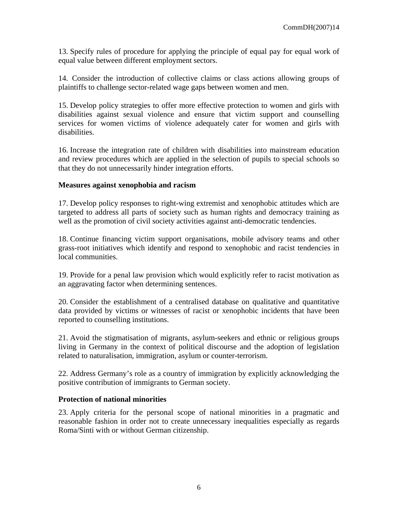13. Specify rules of procedure for applying the principle of equal pay for equal work of equal value between different employment sectors.

14. Consider the introduction of collective claims or class actions allowing groups of plaintiffs to challenge sector-related wage gaps between women and men.

15. Develop policy strategies to offer more effective protection to women and girls with disabilities against sexual violence and ensure that victim support and counselling services for women victims of violence adequately cater for women and girls with disabilities.

16. Increase the integration rate of children with disabilities into mainstream education and review procedures which are applied in the selection of pupils to special schools so that they do not unnecessarily hinder integration efforts.

#### **Measures against xenophobia and racism**

17. Develop policy responses to right-wing extremist and xenophobic attitudes which are targeted to address all parts of society such as human rights and democracy training as well as the promotion of civil society activities against anti-democratic tendencies.

18. Continue financing victim support organisations, mobile advisory teams and other grass-root initiatives which identify and respond to xenophobic and racist tendencies in local communities.

19. Provide for a penal law provision which would explicitly refer to racist motivation as an aggravating factor when determining sentences.

20. Consider the establishment of a centralised database on qualitative and quantitative data provided by victims or witnesses of racist or xenophobic incidents that have been reported to counselling institutions.

21. Avoid the stigmatisation of migrants, asylum-seekers and ethnic or religious groups living in Germany in the context of political discourse and the adoption of legislation related to naturalisation, immigration, asylum or counter-terrorism.

22. Address Germany's role as a country of immigration by explicitly acknowledging the positive contribution of immigrants to German society.

### **Protection of national minorities**

23. Apply criteria for the personal scope of national minorities in a pragmatic and reasonable fashion in order not to create unnecessary inequalities especially as regards Roma/Sinti with or without German citizenship.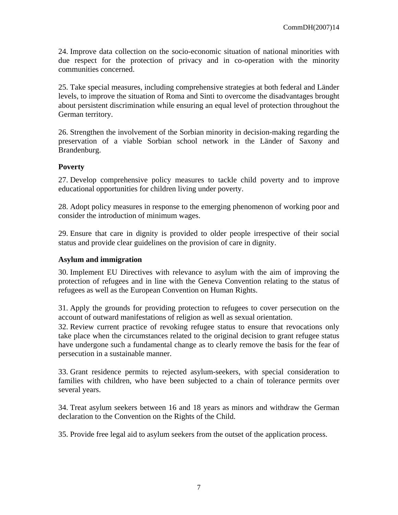24. Improve data collection on the socio-economic situation of national minorities with due respect for the protection of privacy and in co-operation with the minority communities concerned.

25. Take special measures, including comprehensive strategies at both federal and Länder levels, to improve the situation of Roma and Sinti to overcome the disadvantages brought about persistent discrimination while ensuring an equal level of protection throughout the German territory.

26. Strengthen the involvement of the Sorbian minority in decision-making regarding the preservation of a viable Sorbian school network in the Länder of Saxony and Brandenburg.

# **Poverty**

27. Develop comprehensive policy measures to tackle child poverty and to improve educational opportunities for children living under poverty.

28. Adopt policy measures in response to the emerging phenomenon of working poor and consider the introduction of minimum wages.

29. Ensure that care in dignity is provided to older people irrespective of their social status and provide clear guidelines on the provision of care in dignity.

### **Asylum and immigration**

30. Implement EU Directives with relevance to asylum with the aim of improving the protection of refugees and in line with the Geneva Convention relating to the status of refugees as well as the European Convention on Human Rights.

31. Apply the grounds for providing protection to refugees to cover persecution on the account of outward manifestations of religion as well as sexual orientation.

32. Review current practice of revoking refugee status to ensure that revocations only take place when the circumstances related to the original decision to grant refugee status have undergone such a fundamental change as to clearly remove the basis for the fear of persecution in a sustainable manner.

33. Grant residence permits to rejected asylum-seekers, with special consideration to families with children, who have been subjected to a chain of tolerance permits over several years.

34. Treat asylum seekers between 16 and 18 years as minors and withdraw the German declaration to the Convention on the Rights of the Child.

35. Provide free legal aid to asylum seekers from the outset of the application process.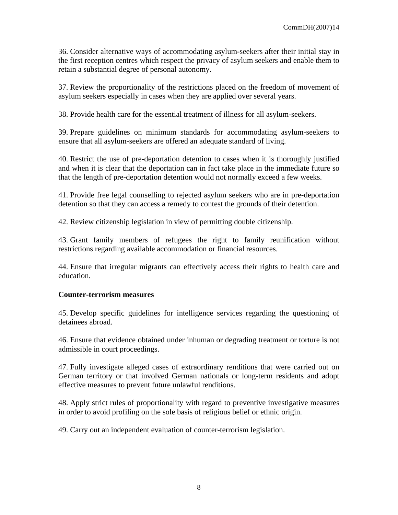36. Consider alternative ways of accommodating asylum-seekers after their initial stay in the first reception centres which respect the privacy of asylum seekers and enable them to retain a substantial degree of personal autonomy.

37. Review the proportionality of the restrictions placed on the freedom of movement of asylum seekers especially in cases when they are applied over several years.

38. Provide health care for the essential treatment of illness for all asylum-seekers.

39. Prepare guidelines on minimum standards for accommodating asylum-seekers to ensure that all asylum-seekers are offered an adequate standard of living.

40. Restrict the use of pre-deportation detention to cases when it is thoroughly justified and when it is clear that the deportation can in fact take place in the immediate future so that the length of pre-deportation detention would not normally exceed a few weeks.

41. Provide free legal counselling to rejected asylum seekers who are in pre-deportation detention so that they can access a remedy to contest the grounds of their detention.

42. Review citizenship legislation in view of permitting double citizenship.

43. Grant family members of refugees the right to family reunification without restrictions regarding available accommodation or financial resources.

44. Ensure that irregular migrants can effectively access their rights to health care and education.

#### **Counter-terrorism measures**

45. Develop specific guidelines for intelligence services regarding the questioning of detainees abroad.

46. Ensure that evidence obtained under inhuman or degrading treatment or torture is not admissible in court proceedings.

47. Fully investigate alleged cases of extraordinary renditions that were carried out on German territory or that involved German nationals or long-term residents and adopt effective measures to prevent future unlawful renditions.

48. Apply strict rules of proportionality with regard to preventive investigative measures in order to avoid profiling on the sole basis of religious belief or ethnic origin.

49. Carry out an independent evaluation of counter-terrorism legislation.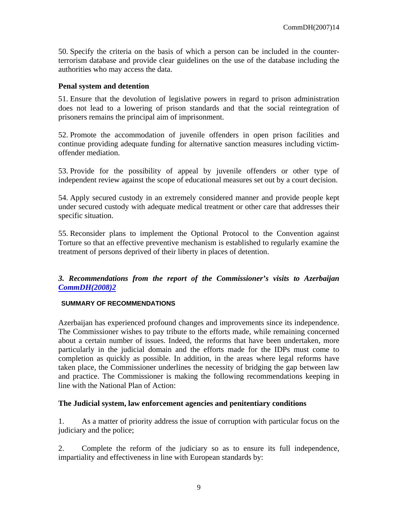50. Specify the criteria on the basis of which a person can be included in the counterterrorism database and provide clear guidelines on the use of the database including the authorities who may access the data.

### **Penal system and detention**

51. Ensure that the devolution of legislative powers in regard to prison administration does not lead to a lowering of prison standards and that the social reintegration of prisoners remains the principal aim of imprisonment.

52. Promote the accommodation of juvenile offenders in open prison facilities and continue providing adequate funding for alternative sanction measures including victimoffender mediation.

53. Provide for the possibility of appeal by juvenile offenders or other type of independent review against the scope of educational measures set out by a court decision.

54. Apply secured custody in an extremely considered manner and provide people kept under secured custody with adequate medical treatment or other care that addresses their specific situation.

55. Reconsider plans to implement the Optional Protocol to the Convention against Torture so that an effective preventive mechanism is established to regularly examine the treatment of persons deprived of their liberty in places of detention.

*3. Recommendations from the report of the Commissioner's visits to Azerbaijan CommDH(2008)2*

### **SUMMARY OF RECOMMENDATIONS**

Azerbaijan has experienced profound changes and improvements since its independence. The Commissioner wishes to pay tribute to the efforts made, while remaining concerned about a certain number of issues. Indeed, the reforms that have been undertaken, more particularly in the judicial domain and the efforts made for the IDPs must come to completion as quickly as possible. In addition, in the areas where legal reforms have taken place, the Commissioner underlines the necessity of bridging the gap between law and practice. The Commissioner is making the following recommendations keeping in line with the National Plan of Action:

# **The Judicial system, law enforcement agencies and penitentiary conditions**

1. As a matter of priority address the issue of corruption with particular focus on the judiciary and the police;

2. Complete the reform of the judiciary so as to ensure its full independence, impartiality and effectiveness in line with European standards by: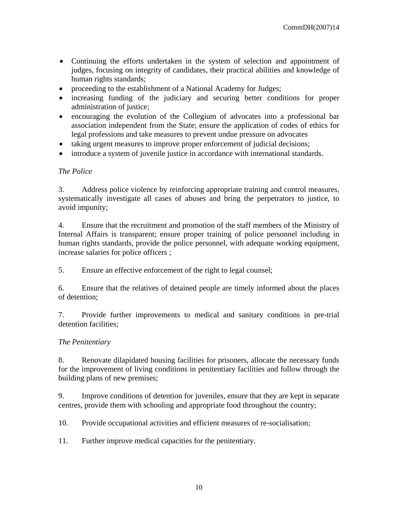- Continuing the efforts undertaken in the system of selection and appointment of judges, focusing on integrity of candidates, their practical abilities and knowledge of human rights standards;
- proceeding to the establishment of a National Academy for Judges;
- increasing funding of the judiciary and securing better conditions for proper administration of justice;
- encouraging the evolution of the Collegium of advocates into a professional bar association independent from the State; ensure the application of codes of ethics for legal professions and take measures to prevent undue pressure on advocates
- taking urgent measures to improve proper enforcement of judicial decisions;
- introduce a system of juvenile justice in accordance with international standards.

### *The Police*

3. Address police violence by reinforcing appropriate training and control measures, systematically investigate all cases of abuses and bring the perpetrators to justice, to avoid impunity;

4. Ensure that the recruitment and promotion of the staff members of the Ministry of Internal Affairs is transparent; ensure proper training of police personnel including in human rights standards, provide the police personnel, with adequate working equipment, increase salaries for police officers ;

5. Ensure an effective enforcement of the right to legal counsel;

6. Ensure that the relatives of detained people are timely informed about the places of detention;

7. Provide further improvements to medical and sanitary conditions in pre-trial detention facilities;

### *The Penitentiary*

8. Renovate dilapidated housing facilities for prisoners, allocate the necessary funds for the improvement of living conditions in penitentiary facilities and follow through the building plans of new premises;

9. Improve conditions of detention for juveniles, ensure that they are kept in separate centres, provide them with schooling and appropriate food throughout the country;

10. Provide occupational activities and efficient measures of re-socialisation;

11. Further improve medical capacities for the penitentiary.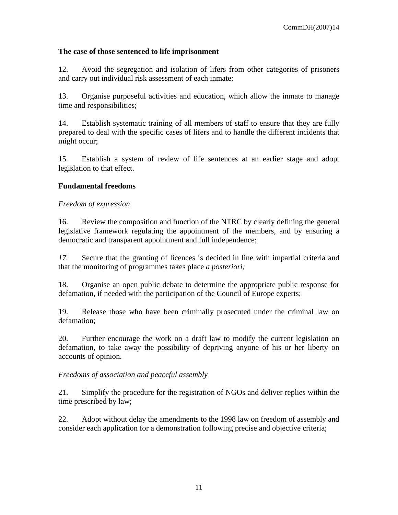### **The case of those sentenced to life imprisonment**

12. Avoid the segregation and isolation of lifers from other categories of prisoners and carry out individual risk assessment of each inmate;

13. Organise purposeful activities and education, which allow the inmate to manage time and responsibilities;

14. Establish systematic training of all members of staff to ensure that they are fully prepared to deal with the specific cases of lifers and to handle the different incidents that might occur;

15. Establish a system of review of life sentences at an earlier stage and adopt legislation to that effect.

# **Fundamental freedoms**

### *Freedom of expression*

16. Review the composition and function of the NTRC by clearly defining the general legislative framework regulating the appointment of the members, and by ensuring a democratic and transparent appointment and full independence;

*17.* Secure that the granting of licences is decided in line with impartial criteria and that the monitoring of programmes takes place *a posteriori;* 

18. Organise an open public debate to determine the appropriate public response for defamation, if needed with the participation of the Council of Europe experts;

19. Release those who have been criminally prosecuted under the criminal law on defamation;

20. Further encourage the work on a draft law to modify the current legislation on defamation, to take away the possibility of depriving anyone of his or her liberty on accounts of opinion.

*Freedoms of association and peaceful assembly* 

21. Simplify the procedure for the registration of NGOs and deliver replies within the time prescribed by law;

22. Adopt without delay the amendments to the 1998 law on freedom of assembly and consider each application for a demonstration following precise and objective criteria;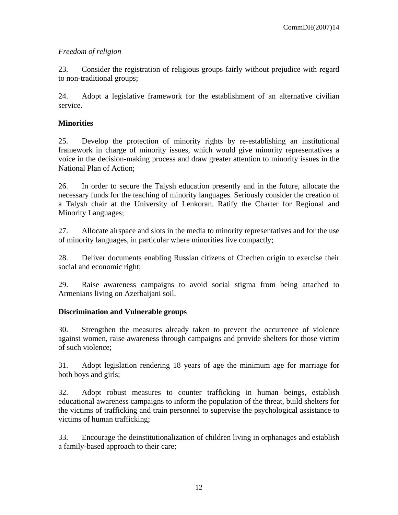# *Freedom of religion*

23. Consider the registration of religious groups fairly without prejudice with regard to non-traditional groups;

24. Adopt a legislative framework for the establishment of an alternative civilian service.

# **Minorities**

25. Develop the protection of minority rights by re-establishing an institutional framework in charge of minority issues, which would give minority representatives a voice in the decision-making process and draw greater attention to minority issues in the National Plan of Action;

26. In order to secure the Talysh education presently and in the future, allocate the necessary funds for the teaching of minority languages. Seriously consider the creation of a Talysh chair at the University of Lenkoran. Ratify the Charter for Regional and Minority Languages;

27. Allocate airspace and slots in the media to minority representatives and for the use of minority languages, in particular where minorities live compactly;

28. Deliver documents enabling Russian citizens of Chechen origin to exercise their social and economic right;

29. Raise awareness campaigns to avoid social stigma from being attached to Armenians living on Azerbaijani soil.

# **Discrimination and Vulnerable groups**

30. Strengthen the measures already taken to prevent the occurrence of violence against women, raise awareness through campaigns and provide shelters for those victim of such violence;

31. Adopt legislation rendering 18 years of age the minimum age for marriage for both boys and girls;

32. Adopt robust measures to counter trafficking in human beings, establish educational awareness campaigns to inform the population of the threat, build shelters for the victims of trafficking and train personnel to supervise the psychological assistance to victims of human trafficking;

33. Encourage the deinstitutionalization of children living in orphanages and establish a family-based approach to their care;